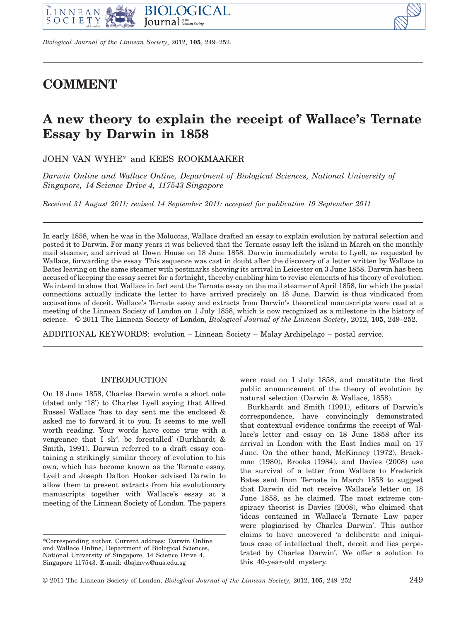

*Biological Journal of the Linnean Society*, 2012, **105**, 249–252.

# **COMMENT**

# **A new theory to explain the receipt of Wallace's Ternate Essay by Darwin in 1858**

JOHN VAN WYHE\* and KEES ROOKMAAKER

*Darwin Online and Wallace Online, Department of Biological Sciences, National University of Singapore, 14 Science Drive 4, 117543 Singapore*

*Received 31 August 2011; revised 14 September 2011; accepted for publication 19 September 2011* 

In early 1858, when he was in the Moluccas, Wallace drafted an essay to explain evolution by natural selection and posted it to Darwin. For many years it was believed that the Ternate essay left the island in March on the monthly mail steamer, and arrived at Down House on 18 June 1858. Darwin immediately wrote to Lyell, as requested by Wallace, forwarding the essay. This sequence was cast in doubt after the discovery of a letter written by Wallace to Bates leaving on the same steamer with postmarks showing its arrival in Leicester on 3 June 1858. Darwin has been accused of keeping the essay secret for a fortnight, thereby enabling him to revise elements of his theory of evolution. We intend to show that Wallace in fact sent the Ternate essay on the mail steamer of April 1858, for which the postal connections actually indicate the letter to have arrived precisely on 18 June. Darwin is thus vindicated from accusations of deceit. Wallace's Ternate essay and extracts from Darwin's theoretical manuscripts were read at a meeting of the Linnean Society of London on 1 July 1858, which is now recognized as a milestone in the history of science. © 2011 The Linnean Society of London, *Biological Journal of the Linnean Society*, 2012, **105**, 249–252.

ADDITIONAL KEYWORDS: evolution – Linnean Society – Malay Archipelago – postal service.

## INTRODUCTION

On 18 June 1858, Charles Darwin wrote a short note (dated only '18') to Charles Lyell saying that Alfred Russel Wallace 'has to day sent me the enclosed & asked me to forward it to you. It seems to me well worth reading. Your words have come true with a vengeance that I sh<sup>d</sup>. be forestalled' (Burkhardt & Smith, 1991). Darwin referred to a draft essay containing a strikingly similar theory of evolution to his own, which has become known as the Ternate essay. Lyell and Joseph Dalton Hooker advised Darwin to allow them to present extracts from his evolutionary manuscripts together with Wallace's essay at a meeting of the Linnean Society of London. The papers

were read on 1 July 1858, and constitute the first public announcement of the theory of evolution by natural selection (Darwin & Wallace, 1858).

Burkhardt and Smith (1991), editors of Darwin's correspondence, have convincingly demonstrated that contextual evidence confirms the receipt of Wallace's letter and essay on 18 June 1858 after its arrival in London with the East Indies mail on 17 June. On the other hand, McKinney (1972), Brackman (1980), Brooks (1984), and Davies (2008) use the survival of a letter from Wallace to Frederick Bates sent from Ternate in March 1858 to suggest that Darwin did not receive Wallace's letter on 18 June 1858, as he claimed. The most extreme conspiracy theorist is Davies (2008), who claimed that 'ideas contained in Wallace's Ternate Law paper were plagiarised by Charles Darwin'. This author claims to have uncovered 'a deliberate and iniquitous case of intellectual theft, deceit and lies perpetrated by Charles Darwin'. We offer a solution to this 40-year-old mystery.

<sup>\*</sup>Corresponding author. Current address: Darwin Online and Wallace Online, Department of Biological Sciences, National University of Singapore, 14 Science Drive 4, Singapore 117543. E-mail: dbsjmvw@nus.edu.sg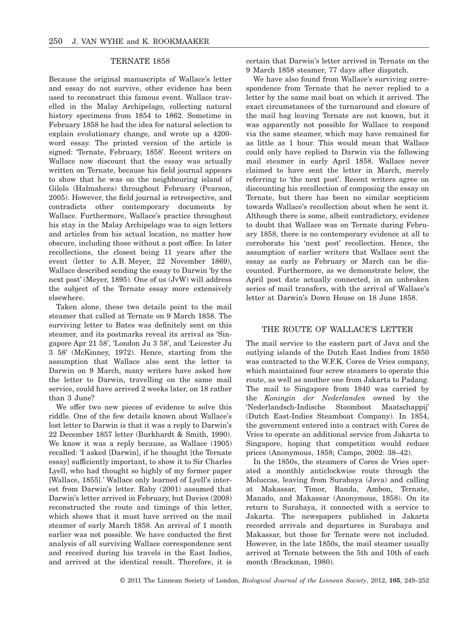# TERNATE 1858

Because the original manuscripts of Wallace's letter and essay do not survive, other evidence has been used to reconstruct this famous event. Wallace travelled in the Malay Archipelago, collecting natural history specimens from 1854 to 1862. Sometime in February 1858 he had the idea for natural selection to explain evolutionary change, and wrote up a 4200 word essay. The printed version of the article is signed: 'Ternate, February, 1858'. Recent writers on Wallace now discount that the essay was actually written on Ternate, because his field journal appears to show that he was on the neighbouring island of Gilolo (Halmahera) throughout February (Pearson, 2005). However, the field journal is retrospective, and contradicts other contemporary documents by Wallace. Furthermore, Wallace's practice throughout his stay in the Malay Archipelago was to sign letters and articles from his actual location, no matter how obscure, including those without a post office. In later recollections, the closest being 11 years after the event (letter to A.B. Meyer, 22 November 1869), Wallace described sending the essay to Darwin 'by the next post' (Meyer, 1895). One of us (JvW) will address the subject of the Ternate essay more extensively elsewhere.

Taken alone, these two details point to the mail steamer that called at Ternate on 9 March 1858. The surviving letter to Bates was definitely sent on this steamer, and its postmarks reveal its arrival as 'Singapore Apr 21 58', 'London Ju 3 58', and 'Leicester Ju 3 58' (McKinney, 1972). Hence, starting from the assumption that Wallace also sent the letter to Darwin on 9 March, many writers have asked how the letter to Darwin, travelling on the same mail service, could have arrived 2 weeks later, on 18 rather than 3 June?

We offer two new pieces of evidence to solve this riddle. One of the few details known about Wallace's lost letter to Darwin is that it was a reply to Darwin's 22 December 1857 letter (Burkhardt & Smith, 1990). We know it was a reply because, as Wallace (1905) recalled: 'I asked [Darwin], if he thought [the Ternate essay] sufficiently important, to show it to Sir Charles Lyell, who had thought so highly of my former paper [Wallace, 1855].' Wallace only learned of Lyell's interest from Darwin's letter. Raby (2001) assumed that Darwin's letter arrived in February, but Davies (2008) reconstructed the route and timings of this letter, which shows that it must have arrived on the mail steamer of early March 1858. An arrival of 1 month earlier was not possible. We have conducted the first analysis of all surviving Wallace correspondence sent and received during his travels in the East Indies, and arrived at the identical result. Therefore, it is certain that Darwin's letter arrived in Ternate on the 9 March 1858 steamer, 77 days after dispatch.

We have also found from Wallace's surviving correspondence from Ternate that he never replied to a letter by the same mail boat on which it arrived. The exact circumstances of the turnaround and closure of the mail bag leaving Ternate are not known, but it was apparently not possible for Wallace to respond via the same steamer, which may have remained for as little as 1 hour. This would mean that Wallace could only have replied to Darwin via the following mail steamer in early April 1858. Wallace never claimed to have sent the letter in March, merely referring to 'the next post'. Recent writers agree on discounting his recollection of composing the essay on Ternate, but there has been no similar scepticism towards Wallace's recollection about when he sent it. Although there is some, albeit contradictory, evidence to doubt that Wallace was on Ternate during February 1858, there is no contemporary evidence at all to corroborate his 'next post' recollection. Hence, the assumption of earlier writers that Wallace sent the essay as early as February or March can be discounted. Furthermore, as we demonstrate below, the April post date actually connected, in an unbroken series of mail transfers, with the arrival of Wallace's letter at Darwin's Down House on 18 June 1858.

# THE ROUTE OF WALLACE'S LETTER

The mail service to the eastern part of Java and the outlying islands of the Dutch East Indies from 1850 was contracted to the W.F.K. Cores de Vries company, which maintained four screw steamers to operate this route, as well as another one from Jakarta to Padang. The mail to Singapore from 1840 was carried by the *Koningin der Nederlanden* owned by the 'Nederlandsch-Indische Stoomboot Maatschappij' (Dutch East-Indies Steamboat Company). In 1854, the government entered into a contract with Cores de Vries to operate an additional service from Jakarta to Singapore, hoping that competition would reduce prices (Anonymous, 1858; Campo, 2002: 38–42).

In the 1850s, the steamers of Cores de Vries operated a monthly anticlockwise route through the Moluccas, leaving from Surabaya (Java) and calling at Makassar, Timor, Banda, Ambon, Ternate, Manado, and Makassar (Anonymous, 1858). On its return to Surabaya, it connected with a service to Jakarta. The newspapers published in Jakarta recorded arrivals and departures in Surabaya and Makassar, but those for Ternate were not included. However, in the late 1850s, the mail steamer usually arrived at Ternate between the 5th and 10th of each month (Brackman, 1980).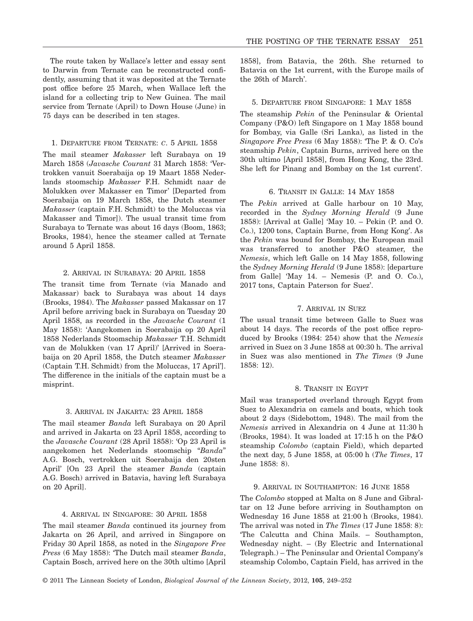The route taken by Wallace's letter and essay sent to Darwin from Ternate can be reconstructed confidently, assuming that it was deposited at the Ternate post office before 25 March, when Wallace left the island for a collecting trip to New Guinea. The mail service from Ternate (April) to Down House (June) in 75 days can be described in ten stages.

## 1. DEPARTURE FROM TERNATE: *C*.5APRIL 1858

The mail steamer *Makasser* left Surabaya on 19 March 1858 (*Javasche Courant* 31 March 1858: 'Vertrokken vanuit Soerabaija op 19 Maart 1858 Nederlands stoomschip *Makasser* F.H. Schmidt naar de Molukken over Makasser en Timor' [Departed from Soerabaija on 19 March 1858, the Dutch steamer *Makasser* (captain F.H. Schmidt) to the Moluccas via Makasser and Timor]). The usual transit time from Surabaya to Ternate was about 16 days (Boom, 1863; Brooks, 1984), hence the steamer called at Ternate around 5 April 1858.

# 2. ARRIVAL IN SURABAYA: 20 APRIL 1858

The transit time from Ternate (via Manado and Makassar) back to Surabaya was about 14 days (Brooks, 1984). The *Makasser* passed Makassar on 17 April before arriving back in Surabaya on Tuesday 20 April 1858, as recorded in the *Javasche Courant* (1 May 1858): 'Aangekomen in Soerabaija op 20 April 1858 Nederlands Stoomschip *Makasser* T.H. Schmidt van de Molukken (van 17 April)' [Arrived in Soerabaija on 20 April 1858, the Dutch steamer *Makasser* (Captain T.H. Schmidt) from the Moluccas, 17 April']. The difference in the initials of the captain must be a misprint.

## 3. ARRIVAL IN JAKARTA: 23 APRIL 1858

The mail steamer *Banda* left Surabaya on 20 April and arrived in Jakarta on 23 April 1858, according to the *Javasche Courant* (28 April 1858): 'Op 23 April is aangekomen het Nederlands stoomschip "*Banda*" A.G. Bosch, vertrokken uit Soerabaija den 20sten April' [On 23 April the steamer *Banda* (captain A.G. Bosch) arrived in Batavia, having left Surabaya on 20 April].

# 4. ARRIVAL IN SINGAPORE: 30 APRIL 1858

The mail steamer *Banda* continued its journey from Jakarta on 26 April, and arrived in Singapore on Friday 30 April 1858, as noted in the *Singapore Free Press* (6 May 1858): 'The Dutch mail steamer *Banda*, Captain Bosch, arrived here on the 30th ultimo [April 1858], from Batavia, the 26th. She returned to Batavia on the 1st current, with the Europe mails of the 26th of March'.

#### 5. DEPARTURE FROM SINGAPORE: 1 MAY 1858

The steamship *Pekin* of the Peninsular & Oriental Company (P&O) left Singapore on 1 May 1858 bound for Bombay, via Galle (Sri Lanka), as listed in the *Singapore Free Press* (6 May 1858): 'The P. & O. Co's steamship *Pekin*, Captain Burns, arrived here on the 30th ultimo [April 1858], from Hong Kong, the 23rd. She left for Pinang and Bombay on the 1st current'.

## 6. TRANSIT IN GALLE: 14 MAY 1858

The *Pekin* arrived at Galle harbour on 10 May, recorded in the *Sydney Morning Herald* (9 June 1858): [Arrival at Galle] 'May 10. – Pekin (P. and O. Co.), 1200 tons, Captain Burne, from Hong Kong'. As the *Pekin* was bound for Bombay, the European mail was transferred to another P&O steamer, the *Nemesis*, which left Galle on 14 May 1858, following the *Sydney Morning Herald* (9 June 1858): [departure from Galle] 'May 14. – Nemesis (P. and O. Co.), 2017 tons, Captain Paterson for Suez'.

# 7. ARRIVAL IN SUEZ

The usual transit time between Galle to Suez was about 14 days. The records of the post office reproduced by Brooks (1984: 254) show that the *Nemesis* arrived in Suez on 3 June 1858 at 00:30 h. The arrival in Suez was also mentioned in *The Times* (9 June 1858: 12).

## 8. TRANSIT IN EGYPT

Mail was transported overland through Egypt from Suez to Alexandria on camels and boats, which took about 2 days (Sidebottom, 1948). The mail from the *Nemesis* arrived in Alexandria on 4 June at 11:30 h (Brooks, 1984). It was loaded at 17:15 h on the P&O steamship *Colombo* (captain Field), which departed the next day, 5 June 1858, at 05:00 h (*The Times*, 17 June 1858: 8).

# 9. ARRIVAL IN SOUTHAMPTON: 16 JUNE 1858

The *Colombo* stopped at Malta on 8 June and Gibraltar on 12 June before arriving in Southampton on Wednesday 16 June 1858 at 21:00 h (Brooks, 1984). The arrival was noted in *The Times* (17 June 1858: 8): 'The Calcutta and China Mails. – Southampton, Wednesday night. – (By Electric and International Telegraph.) – The Peninsular and Oriental Company's steamship Colombo, Captain Field, has arrived in the